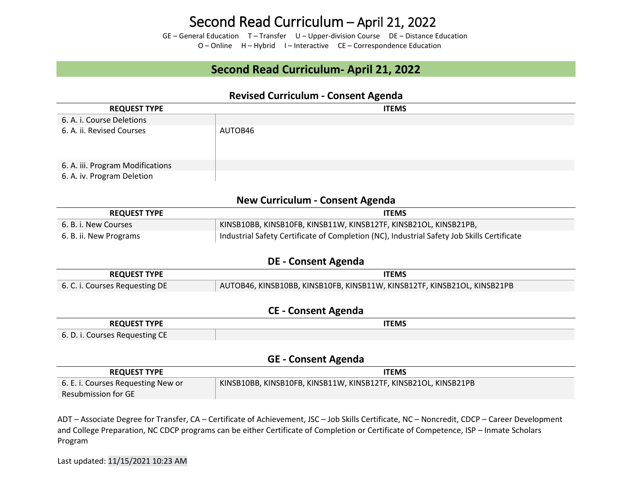GE – General Education T – Transfer U – Upper-division Course DE – Distance Education O – Online H – Hybrid I – Interactive CE – Correspondence Education

### **Second Read Curriculum- April 21, 2022**

### **Revised Curriculum - Consent Agenda**

| <b>REQUEST TYPE</b>              | <b>ITEMS</b> |
|----------------------------------|--------------|
| 6. A. i. Course Deletions        |              |
| 6. A. ii. Revised Courses        | AUTOB46      |
| 6. A. iii. Program Modifications |              |
| 6. A. iv. Program Deletion       |              |

### **New Curriculum - Consent Agenda**

| <b>REQUEST TYPE</b>    | <b>ITEMS</b>                                                                               |
|------------------------|--------------------------------------------------------------------------------------------|
| 6. B. i. New Courses   | KINSB10BB, KINSB10FB, KINSB11W, KINSB12TF, KINSB21OL, KINSB21PB,                           |
| 6. B. ii. New Programs | Industrial Safety Certificate of Completion (NC), Industrial Safety Job Skills Certificate |

#### **DE - Consent Agenda**

| <b>REQUEST TYPE</b>            | ITEMS                                                                    |
|--------------------------------|--------------------------------------------------------------------------|
| 6. C. i. Courses Requesting DE | AUTOB46, KINSB10BB, KINSB10FB, KINSB11W, KINSB12TF, KINSB21OL, KINSB21PB |

#### **CE - Consent Agenda**

| <b>NIEST TYPE</b>                               | <b>ITEMS</b> |
|-------------------------------------------------|--------------|
| $\sim$ $\sim$<br>6. D. i. Courses Requesting CE |              |

#### **GE - Consent Agenda**

| <b>REQUEST TYPE</b>                | <b>ITEMS</b>                                                    |
|------------------------------------|-----------------------------------------------------------------|
| 6. E. i. Courses Requesting New or | KINSB10BB, KINSB10FB, KINSB11W, KINSB12TF, KINSB21OL, KINSB21PB |
| Resubmission for GE                |                                                                 |

ADT – Associate Degree for Transfer, CA – Certificate of Achievement, JSC – Job Skills Certificate, NC – Noncredit, CDCP – Career Development and College Preparation, NC CDCP programs can be either Certificate of Completion or Certificate of Competence, ISP – Inmate Scholars Program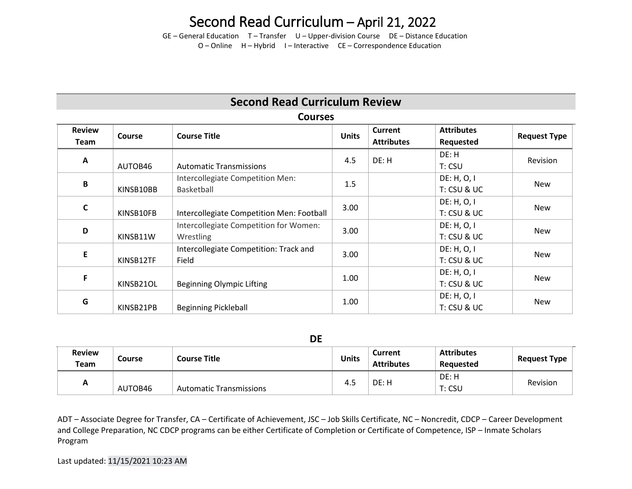GE – General Education T – Transfer U – Upper-division Course DE – Distance Education O – Online H – Hybrid I – Interactive CE – Correspondence Education

### **Second Read Curriculum Review**

### **Courses**

| <b>Review</b><br>Team | Course    | <b>Course Title</b>                                 | <b>Units</b> | <b>Current</b><br><b>Attributes</b> | <b>Attributes</b><br>Requested | <b>Request Type</b> |
|-----------------------|-----------|-----------------------------------------------------|--------------|-------------------------------------|--------------------------------|---------------------|
| A                     | AUTOB46   | <b>Automatic Transmissions</b>                      | 4.5          | DE: H                               | DE: H<br>T: CSU                | Revision            |
| B                     | KINSB10BB | Intercollegiate Competition Men:<br>Basketball      | 1.5          |                                     | DE: H, O, I<br>T: CSU & UC     | <b>New</b>          |
| C                     | KINSB10FB | Intercollegiate Competition Men: Football           | 3.00         |                                     | DE: H, O, I<br>T: CSU & UC     | <b>New</b>          |
| D                     | KINSB11W  | Intercollegiate Competition for Women:<br>Wrestling | 3.00         |                                     | DE: H, O, I<br>T: CSU & UC     | <b>New</b>          |
| E                     | KINSB12TF | Intercollegiate Competition: Track and<br>Field     | 3.00         |                                     | DE: H, O, I<br>T: CSU & UC     | <b>New</b>          |
| F                     | KINSB21OL | Beginning Olympic Lifting                           | 1.00         |                                     | DE: H, O, I<br>T: CSU & UC     | <b>New</b>          |
| G                     | KINSB21PB | <b>Beginning Pickleball</b>                         | 1.00         |                                     | DE: H, O, I<br>T: CSU & UC     | New                 |

**DE**

| <b>Review</b><br>Team | <b>Course</b> | <b>Course Title</b>            | <b>Units</b> | <b>Current</b><br><b>Attributes</b> | <b>Attributes</b><br>Reauested | <b>Request Type</b> |
|-----------------------|---------------|--------------------------------|--------------|-------------------------------------|--------------------------------|---------------------|
| А                     | AUTOB46       | <b>Automatic Transmissions</b> | 4.5          | DE: H                               | DE: H<br>T: CSU                | Revision            |

ADT – Associate Degree for Transfer, CA – Certificate of Achievement, JSC – Job Skills Certificate, NC – Noncredit, CDCP – Career Development and College Preparation, NC CDCP programs can be either Certificate of Completion or Certificate of Competence, ISP – Inmate Scholars Program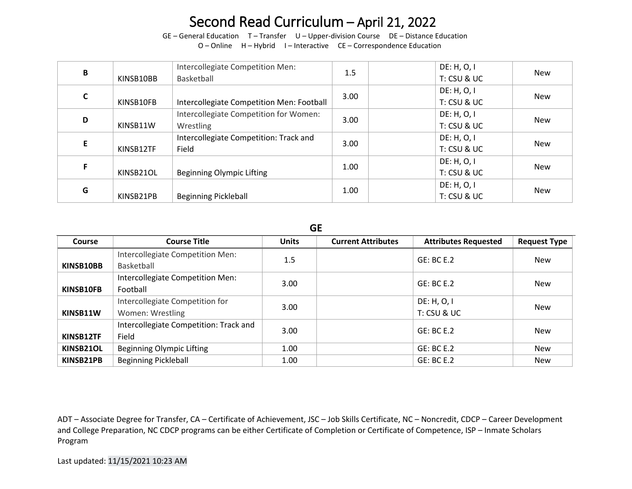GE – General Education T – Transfer U – Upper-division Course DE – Distance Education

O – Online H – Hybrid I – Interactive CE – Correspondence Education

| В  | KINSB10BB | Intercollegiate Competition Men:<br>Basketball      | 1.5  | DE: H, O, I<br>T: CSU & UC | <b>New</b> |
|----|-----------|-----------------------------------------------------|------|----------------------------|------------|
|    | KINSB10FB | Intercollegiate Competition Men: Football           | 3.00 | DE: H, O, I<br>T: CSU & UC | <b>New</b> |
| D  | KINSB11W  | Intercollegiate Competition for Women:<br>Wrestling | 3.00 | DE: H, O, I<br>T: CSU & UC | <b>New</b> |
| E. | KINSB12TF | Intercollegiate Competition: Track and<br>Field     | 3.00 | DE: H, O, I<br>T: CSU & UC | New        |
|    | KINSB21OL | Beginning Olympic Lifting                           | 1.00 | DE: H, O, I<br>T: CSU & UC | <b>New</b> |
| G  | KINSB21PB | <b>Beginning Pickleball</b>                         | 1.00 | DE: H, O, I<br>T: CSU & UC | <b>New</b> |

**GE**

| Course    | <b>Course Title</b>                                 | <b>Units</b> | <b>Current Attributes</b> | <b>Attributes Requested</b> | <b>Request Type</b> |
|-----------|-----------------------------------------------------|--------------|---------------------------|-----------------------------|---------------------|
| KINSB10BB | Intercollegiate Competition Men:<br>Basketball      | 1.5          |                           | GE: BC E.2                  | New                 |
| KINSB10FB | Intercollegiate Competition Men:<br>Football        | 3.00         |                           | GE: BC E.2                  | <b>New</b>          |
| KINSB11W  | Intercollegiate Competition for<br>Women: Wrestling | 3.00         |                           | DE: H, O, I<br>T: CSU & UC  | <b>New</b>          |
| KINSB12TF | Intercollegiate Competition: Track and<br>Field     | 3.00         |                           | GE: BC E.2                  | New                 |
| KINSB21OL | Beginning Olympic Lifting                           | 1.00         |                           | GE: BC E.2                  | New                 |
| KINSB21PB | <b>Beginning Pickleball</b>                         | 1.00         |                           | GE: BC E.2                  | <b>New</b>          |

ADT – Associate Degree for Transfer, CA – Certificate of Achievement, JSC – Job Skills Certificate, NC – Noncredit, CDCP – Career Development and College Preparation, NC CDCP programs can be either Certificate of Completion or Certificate of Competence, ISP – Inmate Scholars Program